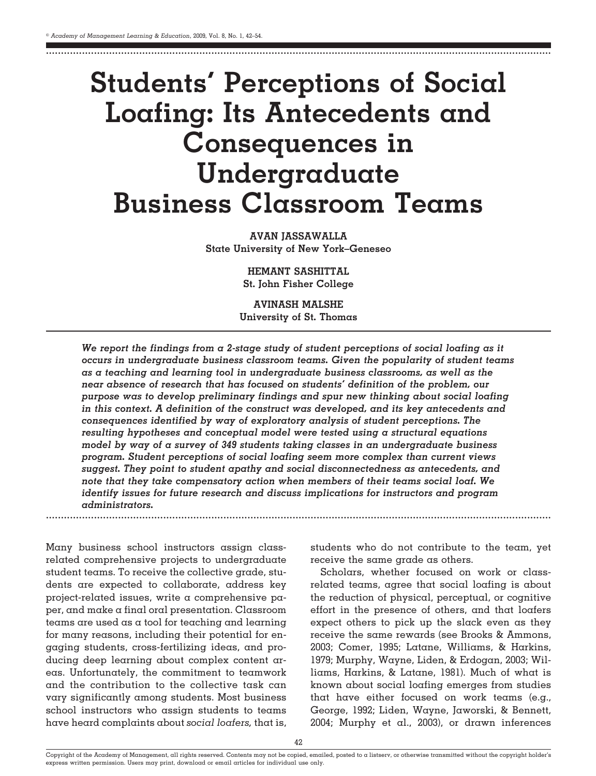# **Students' Perceptions of Social Loafing: Its Antecedents and Consequences in Undergraduate Business Classroom Teams**

........................................................................................................................................................................

**AVAN JASSAWALLA State University of New York–Geneseo**

> **HEMANT SASHITTAL St. John Fisher College**

**AVINASH MALSHE University of St. Thomas**

*We report the findings from a 2-stage study of student perceptions of social loafing as it occurs in undergraduate business classroom teams. Given the popularity of student teams as a teaching and learning tool in undergraduate business classrooms, as well as the near absence of research that has focused on students' definition of the problem, our purpose was to develop preliminary findings and spur new thinking about social loafing in this context. A definition of the construct was developed, and its key antecedents and consequences identified by way of exploratory analysis of student perceptions. The resulting hypotheses and conceptual model were tested using a structural equations model by way of a survey of 349 students taking classes in an undergraduate business program. Student perceptions of social loafing seem more complex than current views suggest. They point to student apathy and social disconnectedness as antecedents, and note that they take compensatory action when members of their teams social loaf. We identify issues for future research and discuss implications for instructors and program administrators.* ........................................................................................................................................................................

Many business school instructors assign classrelated comprehensive projects to undergraduate student teams. To receive the collective grade, students are expected to collaborate, address key project-related issues, write a comprehensive paper, and make a final oral presentation. Classroom teams are used as a tool for teaching and learning for many reasons, including their potential for engaging students, cross-fertilizing ideas, and producing deep learning about complex content areas. Unfortunately, the commitment to teamwork and the contribution to the collective task can vary significantly among students. Most business school instructors who assign students to teams have heard complaints about *social loafers,* that is,

students who do not contribute to the team, yet receive the same grade as others.

Scholars, whether focused on work or classrelated teams, agree that social loafing is about the reduction of physical, perceptual, or cognitive effort in the presence of others, and that loafers expect others to pick up the slack even as they receive the same rewards (see Brooks & Ammons, 2003; Comer, 1995; Latane, Williams, & Harkins, 1979; Murphy, Wayne, Liden, & Erdogan, 2003; Williams, Harkins, & Latane, 1981). Much of what is known about social loafing emerges from studies that have either focused on work teams (e.g., George, 1992; Liden, Wayne, Jaworski, & Bennett, 2004; Murphy et al., 2003), or drawn inferences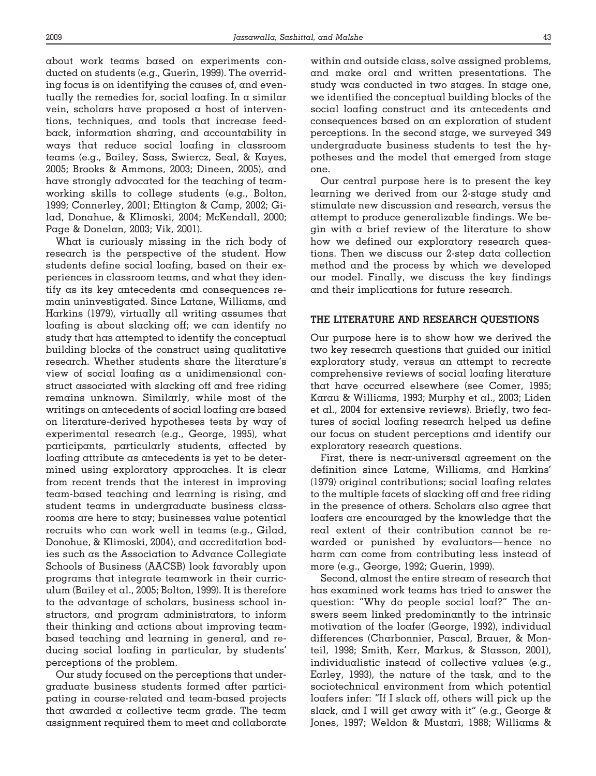about work teams based on experiments conducted on students (e.g., Guerin, 1999). The overriding focus is on identifying the causes of, and eventually the remedies for, social loafing. In a similar vein, scholars have proposed a host of interventions, techniques, and tools that increase feedback, information sharing, and accountability in ways that reduce social loafing in classroom teams (e.g., Bailey, Sass, Swiercz, Seal, & Kayes, 2005; Brooks & Ammons, 2003; Dineen, 2005), and have strongly advocated for the teaching of teamworking skills to college students (e.g., Bolton, 1999; Connerley, 2001; Ettington & Camp, 2002; Gilad, Donahue, & Klimoski, 2004; McKendall, 2000; Page & Donelan, 2003; Vik, 2001).

What is curiously missing in the rich body of research is the perspective of the student. How students define social loafing, based on their experiences in classroom teams, and what they identify as its key antecedents and consequences remain uninvestigated. Since Latane, Williams, and Harkins (1979), virtually all writing assumes that loafing is about slacking off; we can identify no study that has attempted to identify the conceptual building blocks of the construct using qualitative research. Whether students share the literature's view of social loafing as a unidimensional construct associated with slacking off and free riding remains unknown. Similarly, while most of the writings on antecedents of social loafing are based on literature-derived hypotheses tests by way of experimental research (e.g., George, 1995), what participants, particularly students, affected by loafing attribute as antecedents is yet to be determined using exploratory approaches. It is clear from recent trends that the interest in improving team-based teaching and learning is rising, and student teams in undergraduate business classrooms are here to stay; businesses value potential recruits who can work well in teams (e.g., Gilad, Donohue, & Klimoski, 2004), and accreditation bodies such as the Association to Advance Collegiate Schools of Business (AACSB) look favorably upon programs that integrate teamwork in their curriculum (Bailey et al., 2005; Bolton, 1999). It is therefore to the advantage of scholars, business school instructors, and program administrators, to inform their thinking and actions about improving teambased teaching and learning in general, and reducing social loafing in particular, by students' perceptions of the problem.

Our study focused on the perceptions that undergraduate business students formed after participating in course-related and team-based projects that awarded a collective team grade. The team assignment required them to meet and collaborate within and outside class, solve assigned problems, and make oral and written presentations. The study was conducted in two stages. In stage one, we identified the conceptual building blocks of the social loafing construct and its antecedents and consequences based on an exploration of student perceptions. In the second stage, we surveyed 349 undergraduate business students to test the hypotheses and the model that emerged from stage one.

Our central purpose here is to present the key learning we derived from our 2-stage study and stimulate new discussion and research, versus the attempt to produce generalizable findings. We begin with a brief review of the literature to show how we defined our exploratory research questions. Then we discuss our 2-step data collection method and the process by which we developed our model. Finally, we discuss the key findings and their implications for future research.

#### **THE LITERATURE AND RESEARCH QUESTIONS**

Our purpose here is to show how we derived the two key research questions that guided our initial exploratory study, versus an attempt to recreate comprehensive reviews of social loafing literature that have occurred elsewhere (see Comer, 1995; Karau & Williams, 1993; Murphy et al., 2003; Liden et al., 2004 for extensive reviews). Briefly, two features of social loafing research helped us define our focus on student perceptions and identify our exploratory research questions.

First, there is near-universal agreement on the definition since Latane, Williams, and Harkins' (1979) original contributions; social loafing relates to the multiple facets of slacking off and free riding in the presence of others. Scholars also agree that loafers are encouraged by the knowledge that the real extent of their contribution cannot be rewarded or punished by evaluators—hence no harm can come from contributing less instead of more (e.g., George, 1992; Guerin, 1999).

Second, almost the entire stream of research that has examined work teams has tried to answer the question: "Why do people social loaf?" The answers seem linked predominantly to the intrinsic motivation of the loafer (George, 1992), individual differences (Charbonnier, Pascal, Brauer, & Monteil, 1998; Smith, Kerr, Markus, & Stasson, 2001), individualistic instead of collective values (e.g., Earley, 1993), the nature of the task, and to the sociotechnical environment from which potential loafers infer: "If I slack off, others will pick up the slack, and I will get away with it" (e.g., George & Jones, 1997; Weldon & Mustari, 1988; Williams &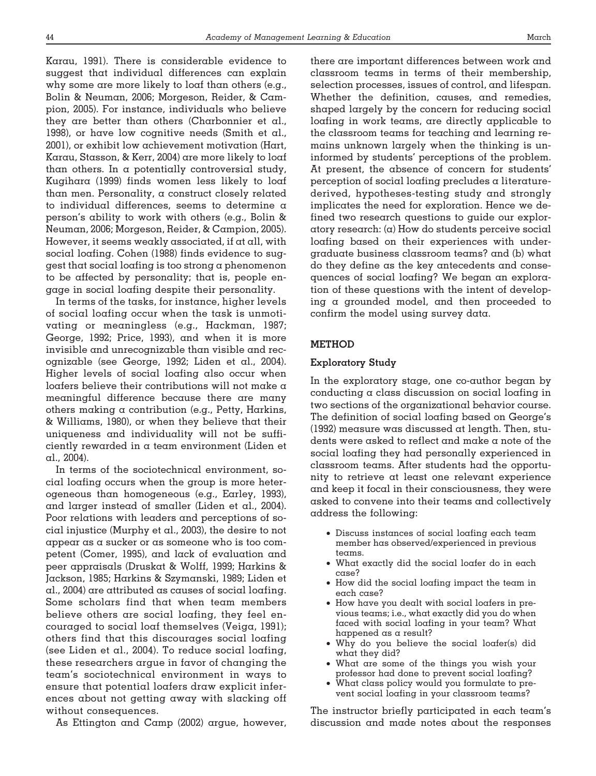Karau, 1991). There is considerable evidence to suggest that individual differences can explain why some are more likely to loaf than others (e.g., Bolin & Neuman, 2006; Morgeson, Reider, & Campion, 2005). For instance, individuals who believe they are better than others (Charbonnier et al., 1998), or have low cognitive needs (Smith et al., 2001), or exhibit low achievement motivation (Hart, Karau, Stasson, & Kerr, 2004) are more likely to loaf than others. In a potentially controversial study, Kugihara (1999) finds women less likely to loaf than men. Personality, a construct closely related to individual differences, seems to determine a person's ability to work with others (e.g., Bolin & Neuman, 2006; Morgeson, Reider, & Campion, 2005). However, it seems weakly associated, if at all, with social loafing. Cohen (1988) finds evidence to suggest that social loafing is too strong a phenomenon to be affected by personality; that is, people engage in social loafing despite their personality.

In terms of the tasks, for instance, higher levels of social loafing occur when the task is unmotivating or meaningless (e.g., Hackman, 1987; George, 1992; Price, 1993), and when it is more invisible and unrecognizable than visible and recognizable (see George, 1992; Liden et al., 2004). Higher levels of social loafing also occur when loafers believe their contributions will not make a meaningful difference because there are many others making a contribution (e.g., Petty, Harkins, & Williams, 1980), or when they believe that their uniqueness and individuality will not be sufficiently rewarded in a team environment (Liden et al., 2004).

In terms of the sociotechnical environment, social loafing occurs when the group is more heterogeneous than homogeneous (e.g., Earley, 1993), and larger instead of smaller (Liden et al., 2004). Poor relations with leaders and perceptions of social injustice (Murphy et al., 2003), the desire to not appear as a sucker or as someone who is too competent (Comer, 1995), and lack of evaluation and peer appraisals (Druskat & Wolff, 1999; Harkins & Jackson, 1985; Harkins & Szymanski, 1989; Liden et al., 2004) are attributed as causes of social loafing. Some scholars find that when team members believe others are social loafing, they feel encouraged to social loaf themselves (Veiga, 1991); others find that this discourages social loafing (see Liden et al., 2004). To reduce social loafing, these researchers argue in favor of changing the team's sociotechnical environment in ways to ensure that potential loafers draw explicit inferences about not getting away with slacking off without consequences.

As Ettington and Camp (2002) argue, however,

there are important differences between work and classroom teams in terms of their membership, selection processes, issues of control, and lifespan. Whether the definition, causes, and remedies, shaped largely by the concern for reducing social loafing in work teams, are directly applicable to the classroom teams for teaching and learning remains unknown largely when the thinking is uninformed by students' perceptions of the problem. At present, the absence of concern for students' perception of social loafing precludes a literaturederived, hypotheses-testing study and strongly implicates the need for exploration. Hence we defined two research questions to guide our exploratory research: (a) How do students perceive social loafing based on their experiences with undergraduate business classroom teams? and (b) what do they define as the key antecedents and consequences of social loafing? We began an exploration of these questions with the intent of developing a grounded model, and then proceeded to confirm the model using survey data.

### **METHOD**

### **Exploratory Study**

In the exploratory stage, one co-author began by conducting a class discussion on social loafing in two sections of the organizational behavior course. The definition of social loafing based on George's (1992) measure was discussed at length. Then, students were asked to reflect and make a note of the social loafing they had personally experienced in classroom teams. After students had the opportunity to retrieve at least one relevant experience and keep it focal in their consciousness, they were asked to convene into their teams and collectively address the following:

- Discuss instances of social loafing each team member has observed/experienced in previous teams.
- What exactly did the social loafer do in each case?
- How did the social loafing impact the team in each case?
- How have you dealt with social loafers in previous teams; i.e., what exactly did you do when faced with social loafing in your team? What happened as a result?
- Why do you believe the social loafer(s) did what they did?
- What are some of the things you wish your professor had done to prevent social loafing?
- What class policy would you formulate to prevent social loafing in your classroom teams?

The instructor briefly participated in each team's discussion and made notes about the responses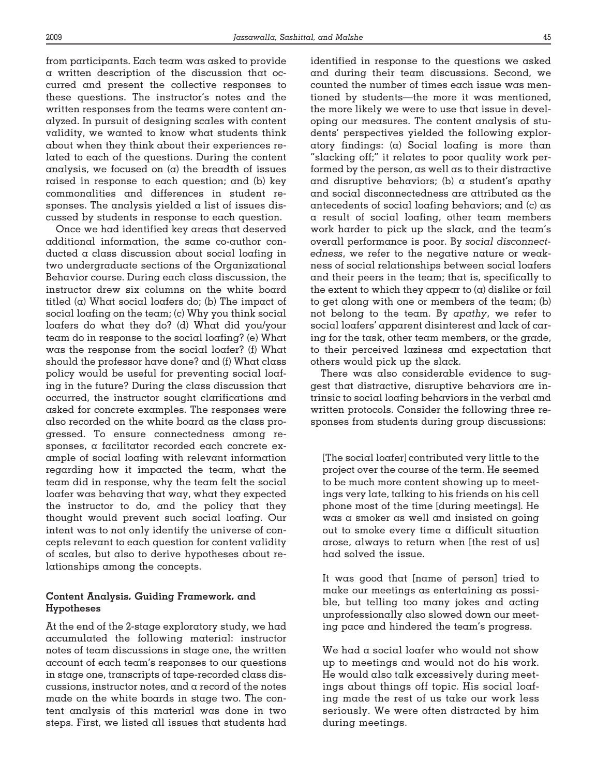from participants. Each team was asked to provide a written description of the discussion that occurred and present the collective responses to these questions. The instructor's notes and the written responses from the teams were content analyzed. In pursuit of designing scales with content validity, we wanted to know what students think about when they think about their experiences related to each of the questions. During the content analysis, we focused on  $(a)$  the breadth of issues raised in response to each question; and (b) key commonalities and differences in student responses. The analysis yielded a list of issues discussed by students in response to each question.

Once we had identified key areas that deserved additional information, the same co-author conducted a class discussion about social loafing in two undergraduate sections of the Organizational Behavior course. During each class discussion, the instructor drew six columns on the white board titled  $(a)$  What social loafers do; (b) The impact of social loafing on the team; (c) Why you think social loafers do what they do? (d) What did you/your team do in response to the social loafing? (e) What was the response from the social loafer? (f) What should the professor have done? and (f) What class policy would be useful for preventing social loafing in the future? During the class discussion that occurred, the instructor sought clarifications and asked for concrete examples. The responses were also recorded on the white board as the class progressed. To ensure connectedness among responses, a facilitator recorded each concrete example of social loafing with relevant information regarding how it impacted the team, what the team did in response, why the team felt the social loafer was behaving that way, what they expected the instructor to do, and the policy that they thought would prevent such social loafing. Our intent was to not only identify the universe of concepts relevant to each question for content validity of scales, but also to derive hypotheses about relationships among the concepts.

# **Content Analysis, Guiding Framework, and Hypotheses**

At the end of the 2-stage exploratory study, we had accumulated the following material: instructor notes of team discussions in stage one, the written account of each team's responses to our questions in stage one, transcripts of tape-recorded class discussions, instructor notes, and a record of the notes made on the white boards in stage two. The content analysis of this material was done in two steps. First, we listed all issues that students had

identified in response to the questions we asked and during their team discussions. Second, we counted the number of times each issue was mentioned by students—the more it was mentioned, the more likely we were to use that issue in developing our measures. The content analysis of students' perspectives yielded the following exploratory findings: (a) Social loafing is more than "slacking off;" it relates to poor quality work performed by the person, as well as to their distractive and disruptive behaviors; (b)  $\alpha$  student's apathy and social disconnectedness are attributed as the antecedents of social loafing behaviors; and (c) as a result of social loafing, other team members work harder to pick up the slack, and the team's overall performance is poor. By *social disconnectedness*, we refer to the negative nature or weakness of social relationships between social loafers and their peers in the team; that is, specifically to the extent to which they appear to  $(\alpha)$  dislike or fail to get along with one or members of the team; (b) not belong to the team. By *apathy*, we refer to social loafers' apparent disinterest and lack of caring for the task, other team members, or the grade, to their perceived laziness and expectation that others would pick up the slack.

There was also considerable evidence to suggest that distractive, disruptive behaviors are intrinsic to social loafing behaviors in the verbal and written protocols. Consider the following three responses from students during group discussions:

[The social loafer] contributed very little to the project over the course of the term. He seemed to be much more content showing up to meetings very late, talking to his friends on his cell phone most of the time [during meetings]. He was a smoker as well and insisted on going out to smoke every time a difficult situation arose, always to return when [the rest of us] had solved the issue.

It was good that [name of person] tried to make our meetings as entertaining as possible, but telling too many jokes and acting unprofessionally also slowed down our meeting pace and hindered the team's progress.

We had a social loafer who would not show up to meetings and would not do his work. He would also talk excessively during meetings about things off topic. His social loafing made the rest of us take our work less seriously. We were often distracted by him during meetings.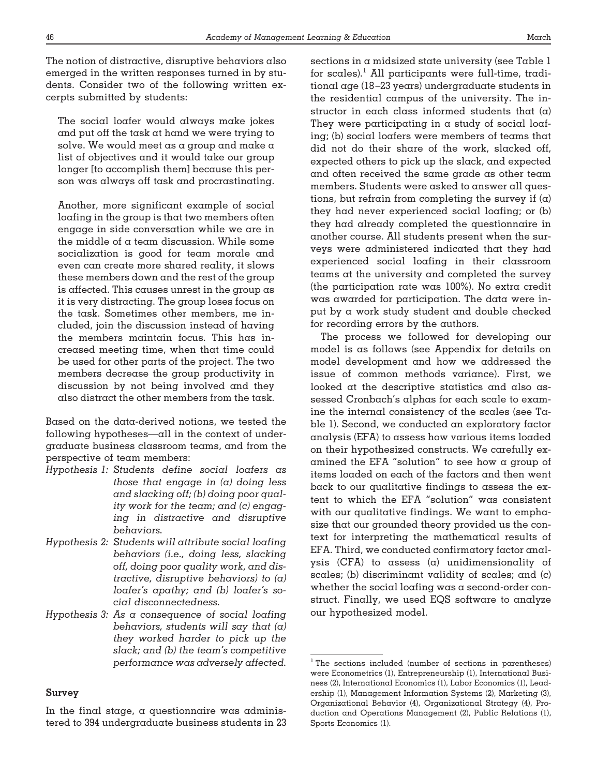The notion of distractive, disruptive behaviors also emerged in the written responses turned in by students. Consider two of the following written excerpts submitted by students:

The social loafer would always make jokes and put off the task at hand we were trying to solve. We would meet as a group and make a list of objectives and it would take our group longer [to accomplish them] because this person was always off task and procrastinating.

Another, more significant example of social loafing in the group is that two members often engage in side conversation while we are in the middle of a team discussion. While some socialization is good for team morale and even can create more shared reality, it slows these members down and the rest of the group is affected. This causes unrest in the group as it is very distracting. The group loses focus on the task. Sometimes other members, me included, join the discussion instead of having the members maintain focus. This has increased meeting time, when that time could be used for other parts of the project. The two members decrease the group productivity in discussion by not being involved and they also distract the other members from the task.

Based on the data-derived notions, we tested the following hypotheses—all in the context of undergraduate business classroom teams, and from the perspective of team members:

- *Hypothesis 1: Students define social loafers as those that engage in (a) doing less and slacking off; (b) doing poor quality work for the team; and (c) engaging in distractive and disruptive behaviors.*
- *Hypothesis 2: Students will attribute social loafing behaviors (i.e., doing less, slacking off, doing poor quality work, and distractive, disruptive behaviors) to (a) loafer's apathy; and (b) loafer's social disconnectedness.*
- *Hypothesis 3: As a consequence of social loafing behaviors, students will say that (a) they worked harder to pick up the slack; and (b) the team's competitive performance was adversely affected.*

#### **Survey**

In the final stage, a questionnaire was administered to 394 undergraduate business students in 23 sections in a midsized state university (see Table 1 for scales).<sup>1</sup> All participants were full-time, traditional age (18 –23 years) undergraduate students in the residential campus of the university. The instructor in each class informed students that  $(\alpha)$ They were participating in  $\alpha$  study of social loafing; (b) social loafers were members of teams that did not do their share of the work, slacked off, expected others to pick up the slack, and expected and often received the same grade as other team members. Students were asked to answer all questions, but refrain from completing the survey if  $(\alpha)$ they had never experienced social loafing; or (b) they had already completed the questionnaire in another course. All students present when the surveys were administered indicated that they had experienced social loafing in their classroom teams at the university and completed the survey (the participation rate was 100%). No extra credit was awarded for participation. The data were input by a work study student and double checked for recording errors by the authors.

The process we followed for developing our model is as follows (see Appendix for details on model development and how we addressed the issue of common methods variance). First, we looked at the descriptive statistics and also assessed Cronbach's alphas for each scale to examine the internal consistency of the scales (see Table 1). Second, we conducted an exploratory factor analysis (EFA) to assess how various items loaded on their hypothesized constructs. We carefully examined the EFA "solution" to see how a group of items loaded on each of the factors and then went back to our qualitative findings to assess the extent to which the EFA "solution" was consistent with our qualitative findings. We want to emphasize that our grounded theory provided us the context for interpreting the mathematical results of EFA. Third, we conducted confirmatory factor analysis (CFA) to assess  $(a)$  unidimensionality of scales; (b) discriminant validity of scales; and (c) whether the social loafing was a second-order construct. Finally, we used EQS software to analyze our hypothesized model.

<sup>&</sup>lt;sup>1</sup> The sections included (number of sections in parentheses) were Econometrics (1), Entrepreneurship (1), International Business (2), International Economics (1), Labor Economics (1), Leadership (1), Management Information Systems (2), Marketing (3), Organizational Behavior (4), Organizational Strategy (4), Production and Operations Management (2), Public Relations (1), Sports Economics (1).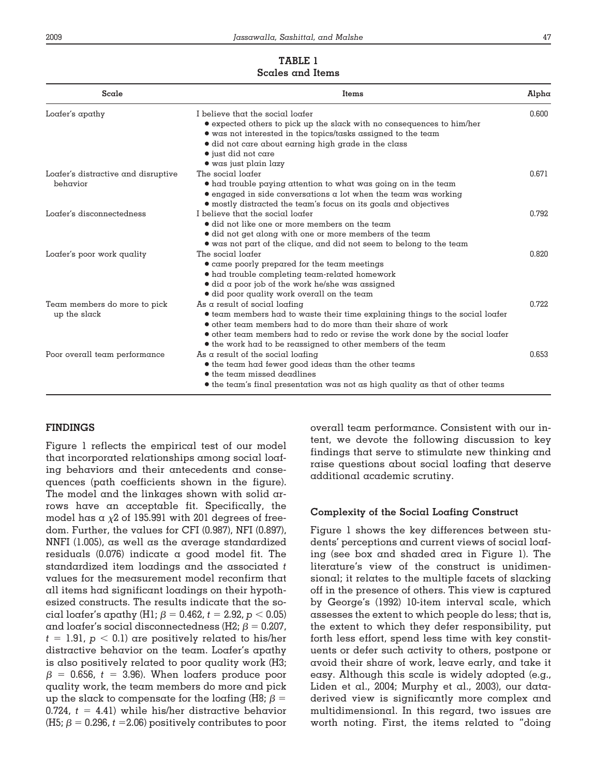# **TABLE 1**

| Scale                                           | <b>Items</b>                                                                                                                                                                                                                                                                                                                    | Alpha |
|-------------------------------------------------|---------------------------------------------------------------------------------------------------------------------------------------------------------------------------------------------------------------------------------------------------------------------------------------------------------------------------------|-------|
| Loafer's apathy                                 | I believe that the social loafer<br>• expected others to pick up the slack with no consequences to him/her<br>• was not interested in the topics/tasks assigned to the team<br>• did not care about earning high grade in the class<br>$\bullet$ just did not care<br>$\bullet$ was just plain lazy                             | 0.600 |
| Loafer's distractive and disruptive<br>behavior | The social loafer<br>• had trouble paying attention to what was going on in the team<br>$\bullet$ engaged in side conversations a lot when the team was working<br>• mostly distracted the team's focus on its goals and objectives                                                                                             | 0.671 |
| Loafer's disconnectedness                       | I believe that the social loafer<br>• did not like one or more members on the team<br>• did not get along with one or more members of the team<br>• was not part of the clique, and did not seem to belong to the team                                                                                                          | 0.792 |
| Loafer's poor work quality                      | The social loafer<br>• came poorly prepared for the team meetings<br>$\bullet$ had trouble completing team-related homework<br>$\bullet$ did a poor job of the work he/she was assigned<br>· did poor quality work overall on the team                                                                                          | 0.820 |
| Team members do more to pick<br>up the slack    | As a result of social loafing<br>• team members had to waste their time explaining things to the social loafer<br>• other team members had to do more than their share of work<br>• other team members had to redo or revise the work done by the social loafer<br>• the work had to be reassigned to other members of the team | 0.722 |
| Poor overall team performance                   | As a result of the social loafing<br>$\bullet$ the team had fewer good ideas than the other teams<br>• the team missed deadlines<br>• the team's final presentation was not as high quality as that of other teams                                                                                                              | 0.653 |

# **FINDINGS**

Figure 1 reflects the empirical test of our model that incorporated relationships among social loafing behaviors and their antecedents and consequences (path coefficients shown in the figure). The model and the linkages shown with solid arrows have an acceptable fit. Specifically, the model has a  $\chi$ 2 of 195.991 with 201 degrees of freedom. Further, the values for CFI (0.987), NFI (0.897), NNFI (1.005), as well as the average standardized residuals (0.076) indicate a good model fit. The standardized item loadings and the associated *t* values for the measurement model reconfirm that all items had significant loadings on their hypothesized constructs. The results indicate that the social loafer's apathy (H1;  $\beta$  = 0.462,  $t$  = 2.92,  $p$  < 0.05) and loafer's social disconnectedness (H2;  $\beta$  = 0.207,  $t$  = 1.91,  $p$   $<$  0.1) are positively related to his/her distractive behavior on the team. Loafer's apathy is also positively related to poor quality work (H3;  $\beta$  = 0.656, *t* = 3.96). When loafers produce poor quality work, the team members do more and pick up the slack to compensate for the loafing (H8;  $\beta$  = 0.724,  $t = 4.41$ ) while his/her distractive behavior (H5;  $\beta$  = 0.296, *t* =2.06) positively contributes to poor

overall team performance. Consistent with our intent, we devote the following discussion to key findings that serve to stimulate new thinking and raise questions about social loafing that deserve additional academic scrutiny.

# **Complexity of the Social Loafing Construct**

Figure 1 shows the key differences between students' perceptions and current views of social loafing (see box and shaded area in Figure 1). The literature's view of the construct is unidimensional; it relates to the multiple facets of slacking off in the presence of others. This view is captured by George's (1992) 10-item interval scale, which assesses the extent to which people do less; that is, the extent to which they defer responsibility, put forth less effort, spend less time with key constituents or defer such activity to others, postpone or avoid their share of work, leave early, and take it easy. Although this scale is widely adopted (e.g., Liden et al., 2004; Murphy et al., 2003), our dataderived view is significantly more complex and multidimensional. In this regard, two issues are worth noting. First, the items related to "doing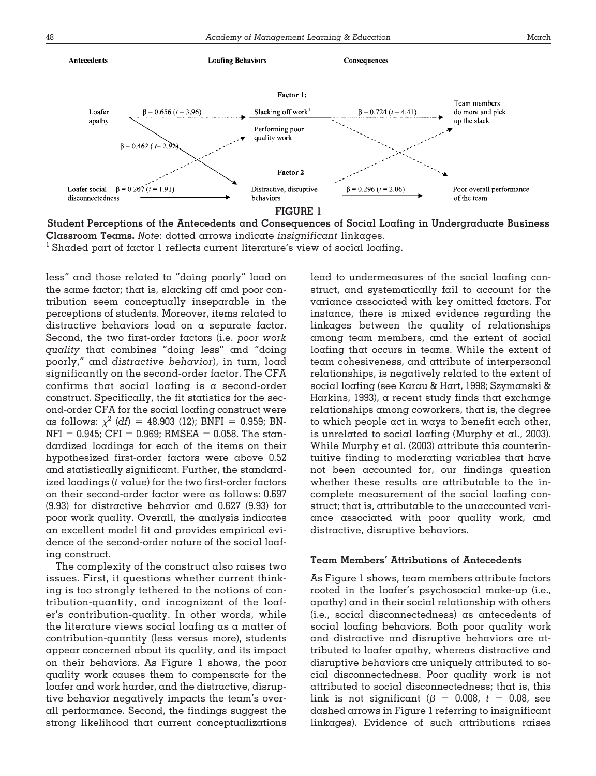

**Student Perceptions of the Antecedents and Consequences of Social Loafing in Undergraduate Business Classroom Teams.** *Note*: dotted arrows indicate *insignificant* linkages.

 $<sup>1</sup>$  Shaded part of factor 1 reflects current literature's view of social loafing.</sup>

less" and those related to "doing poorly" load on the same factor; that is, slacking off and poor contribution seem conceptually inseparable in the perceptions of students. Moreover, items related to distractive behaviors load on a separate factor. Second, the two first-order factors (i.e. *poor work quality* that combines "doing less" and "doing poorly," and *distractive behavior*), in turn, load significantly on the second-order factor. The CFA confirms that social loafing is a second-order construct. Specifically, the fit statistics for the second-order CFA for the social loafing construct were as follows:  $\chi^2$  (df) = 48.903 (12); BNFI = 0.959; BN- $NFI = 0.945$ ; CFI = 0.969; RMSEA = 0.058. The standardized loadings for each of the items on their hypothesized first-order factors were above 0.52 and statistically significant. Further, the standardized loadings (*t* value) for the two first-order factors on their second-order factor were as follows: 0.697 (9.93) for distractive behavior and 0.627 (9.93) for poor work quality. Overall, the analysis indicates an excellent model fit and provides empirical evidence of the second-order nature of the social loafing construct.

The complexity of the construct also raises two issues. First, it questions whether current thinking is too strongly tethered to the notions of contribution-quantity, and incognizant of the loafer's contribution-quality. In other words, while the literature views social loafing as a matter of contribution-quantity (less versus more), students appear concerned about its quality, and its impact on their behaviors. As Figure 1 shows, the poor quality work causes them to compensate for the loafer and work harder, and the distractive, disruptive behavior negatively impacts the team's overall performance. Second, the findings suggest the strong likelihood that current conceptualizations lead to undermeasures of the social loafing construct, and systematically fail to account for the variance associated with key omitted factors. For instance, there is mixed evidence regarding the linkages between the quality of relationships among team members, and the extent of social loafing that occurs in teams. While the extent of team cohesiveness, and attribute of interpersonal relationships, is negatively related to the extent of social loafing (see Karau & Hart, 1998; Szymanski & Harkins, 1993), a recent study finds that exchange relationships among coworkers, that is, the degree to which people act in ways to benefit each other, is unrelated to social loafing (Murphy et al., 2003). While Murphy et al. (2003) attribute this counterintuitive finding to moderating variables that have not been accounted for, our findings question whether these results are attributable to the incomplete measurement of the social loafing construct; that is, attributable to the unaccounted variance associated with poor quality work, and distractive, disruptive behaviors.

#### **Team Members' Attributions of Antecedents**

As Figure 1 shows, team members attribute factors rooted in the loafer's psychosocial make-up (i.e., apathy) and in their social relationship with others (i.e., social disconnectedness) as antecedents of social loafing behaviors. Both poor quality work and distractive and disruptive behaviors are attributed to loafer apathy, whereas distractive and disruptive behaviors are uniquely attributed to social disconnectedness. Poor quality work is not attributed to social disconnectedness; that is, this link is not significant ( $\beta = 0.008$ ,  $t = 0.08$ , see dashed arrows in Figure 1 referring to insignificant linkages). Evidence of such attributions raises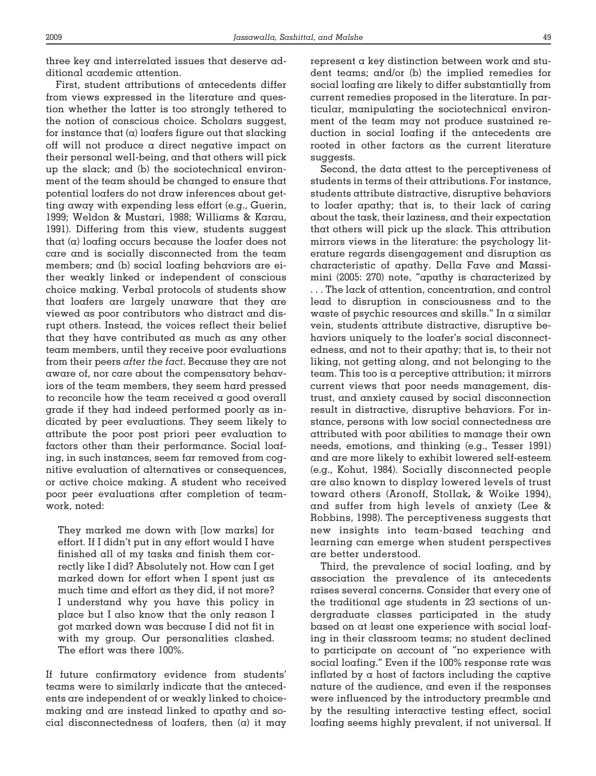three key and interrelated issues that deserve additional academic attention.

First, student attributions of antecedents differ from views expressed in the literature and question whether the latter is too strongly tethered to the notion of conscious choice. Scholars suggest, for instance that  $(a)$  loafers figure out that slacking off will not produce a direct negative impact on their personal well-being, and that others will pick up the slack; and (b) the sociotechnical environment of the team should be changed to ensure that potential loafers do not draw inferences about getting away with expending less effort (e.g., Guerin, 1999; Weldon & Mustari, 1988; Williams & Karau, 1991). Differing from this view, students suggest that (a) loafing occurs because the loafer does not care and is socially disconnected from the team members; and (b) social loafing behaviors are either weakly linked or independent of conscious choice making. Verbal protocols of students show that loafers are largely unaware that they are viewed as poor contributors who distract and disrupt others. Instead, the voices reflect their belief that they have contributed as much as any other team members, until they receive poor evaluations from their peers *after the fact.* Because they are not aware of, nor care about the compensatory behaviors of the team members, they seem hard pressed to reconcile how the team received a good overall grade if they had indeed performed poorly as indicated by peer evaluations. They seem likely to attribute the poor post priori peer evaluation to factors other than their performance. Social loafing, in such instances, seem far removed from cognitive evaluation of alternatives or consequences, or active choice making. A student who received poor peer evaluations after completion of teamwork, noted:

They marked me down with [low marks] for effort. If I didn't put in any effort would I have finished all of my tasks and finish them correctly like I did? Absolutely not. How can I get marked down for effort when I spent just as much time and effort as they did, if not more? I understand why you have this policy in place but I also know that the only reason I got marked down was because I did not fit in with my group. Our personalities clashed. The effort was there 100%.

If future confirmatory evidence from students' teams were to similarly indicate that the antecedents are independent of or weakly linked to choicemaking and are instead linked to apathy and social disconnectedness of loafers, then  $(a)$  it may represent a key distinction between work and student teams; and/or (b) the implied remedies for social loafing are likely to differ substantially from current remedies proposed in the literature. In particular, manipulating the sociotechnical environment of the team may not produce sustained reduction in social loafing if the antecedents are rooted in other factors as the current literature suggests.

Second, the data attest to the perceptiveness of students in terms of their attributions. For instance, students attribute distractive, disruptive behaviors to loafer apathy; that is, to their lack of caring about the task, their laziness, and their expectation that others will pick up the slack. This attribution mirrors views in the literature: the psychology literature regards disengagement and disruption as characteristic of apathy. Della Fave and Massimini (2005: 270) note, "apathy is characterized by . . . The lack of attention, concentration, and control lead to disruption in consciousness and to the waste of psychic resources and skills." In a similar vein, students attribute distractive, disruptive behaviors uniquely to the loafer's social disconnectedness, and not to their apathy; that is, to their not liking, not getting along, and not belonging to the team. This too is a perceptive attribution; it mirrors current views that poor needs management, distrust, and anxiety caused by social disconnection result in distractive, disruptive behaviors. For instance, persons with low social connectedness are attributed with poor abilities to manage their own needs, emotions, and thinking (e.g., Tesser 1991) and are more likely to exhibit lowered self-esteem (e.g., Kohut, 1984). Socially disconnected people are also known to display lowered levels of trust toward others (Aronoff, Stollak**,** & Woike 1994), and suffer from high levels of anxiety (Lee & Robbins, 1998). The perceptiveness suggests that new insights into team-based teaching and learning can emerge when student perspectives are better understood.

Third, the prevalence of social loafing, and by association the prevalence of its antecedents raises several concerns. Consider that every one of the traditional age students in 23 sections of undergraduate classes participated in the study based on at least one experience with social loafing in their classroom teams; no student declined to participate on account of "no experience with social loafing." Even if the 100% response rate was inflated by  $\alpha$  host of factors including the captive nature of the audience, and even if the responses were influenced by the introductory preamble and by the resulting interactive testing effect, social loafing seems highly prevalent, if not universal. If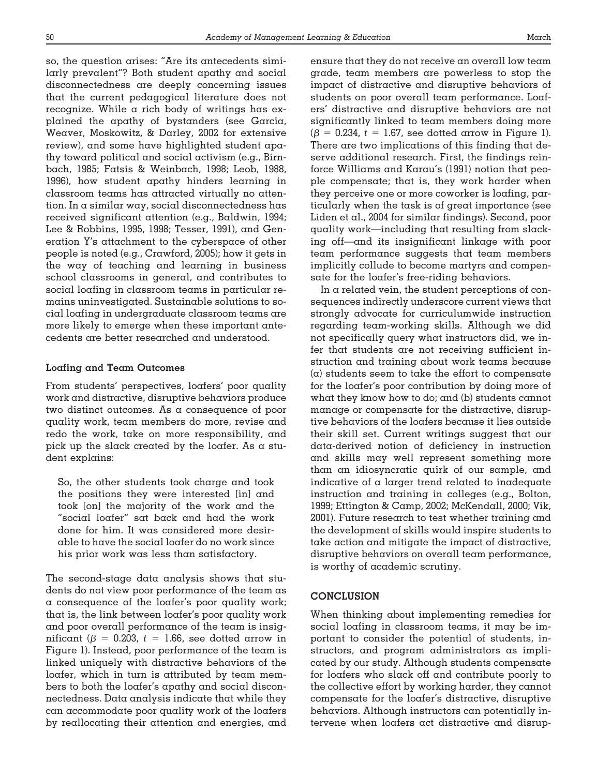so, the question arises: "Are its antecedents similarly prevalent"? Both student apathy and social disconnectedness are deeply concerning issues that the current pedagogical literature does not recognize. While a rich body of writings has explained the apathy of bystanders (see Garcia, Weaver, Moskowitz, & Darley, 2002 for extensive review), and some have highlighted student apathy toward political and social activism (e.g., Birnbach, 1985; Fatsis & Weinbach, 1998; Leob, 1988, 1996), how student apathy hinders learning in classroom teams has attracted virtually no attention. In a similar way, social disconnectedness has received significant attention (e.g., Baldwin, 1994; Lee & Robbins, 1995, 1998; Tesser, 1991), and Generation Y's attachment to the cyberspace of other people is noted (e.g., Crawford, 2005); how it gets in the way of teaching and learning in business school classrooms in general, and contributes to social loafing in classroom teams in particular remains uninvestigated. Sustainable solutions to social loafing in undergraduate classroom teams are more likely to emerge when these important antecedents are better researched and understood.

#### **Loafing and Team Outcomes**

From students' perspectives, loafers' poor quality work and distractive, disruptive behaviors produce two distinct outcomes. As a consequence of poor quality work, team members do more, revise and redo the work, take on more responsibility, and pick up the slack created by the loafer. As a student explains:

So, the other students took charge and took the positions they were interested [in] and took [on] the majority of the work and the "social loafer" sat back and had the work done for him. It was considered more desirable to have the social loafer do no work since his prior work was less than satisfactory.

The second-stage data analysis shows that students do not view poor performance of the team as a consequence of the loafer's poor quality work; that is, the link between loafer's poor quality work and poor overall performance of the team is insignificant ( $\beta$  = 0.203,  $t$  = 1.66, see dotted arrow in Figure 1). Instead, poor performance of the team is linked uniquely with distractive behaviors of the loafer, which in turn is attributed by team members to both the loafer's apathy and social disconnectedness. Data analysis indicate that while they can accommodate poor quality work of the loafers by reallocating their attention and energies, and ensure that they do not receive an overall low team grade, team members are powerless to stop the impact of distractive and disruptive behaviors of students on poor overall team performance. Loafers' distractive and disruptive behaviors are not significantly linked to team members doing more  $(\beta = 0.234, t = 1.67,$  see dotted arrow in Figure 1). There are two implications of this finding that deserve additional research. First, the findings reinforce Williams and Karau's (1991) notion that people compensate; that is, they work harder when they perceive one or more coworker is loafing, particularly when the task is of great importance (see Liden et al., 2004 for similar findings). Second, poor quality work—including that resulting from slacking off—and its insignificant linkage with poor team performance suggests that team members implicitly collude to become martyrs and compensate for the loafer's free-riding behaviors.

In a related vein, the student perceptions of consequences indirectly underscore current views that strongly advocate for curriculumwide instruction regarding team-working skills. Although we did not specifically query what instructors did, we infer that students are not receiving sufficient instruction and training about work teams because  $(\alpha)$  students seem to take the effort to compensate for the loafer's poor contribution by doing more of what they know how to do; and (b) students cannot manage or compensate for the distractive, disruptive behaviors of the loafers because it lies outside their skill set. Current writings suggest that our data-derived notion of deficiency in instruction and skills may well represent something more than an idiosyncratic quirk of our sample, and indicative of a larger trend related to inadequate instruction and training in colleges (e.g., Bolton, 1999; Ettington & Camp, 2002; McKendall, 2000; Vik, 2001). Future research to test whether training and the development of skills would inspire students to take action and mitigate the impact of distractive, disruptive behaviors on overall team performance, is worthy of academic scrutiny.

# **CONCLUSION**

When thinking about implementing remedies for social loafing in classroom teams, it may be important to consider the potential of students, instructors, and program administrators as implicated by our study. Although students compensate for loafers who slack off and contribute poorly to the collective effort by working harder, they cannot compensate for the loafer's distractive, disruptive behaviors. Although instructors can potentially intervene when loafers act distractive and disrup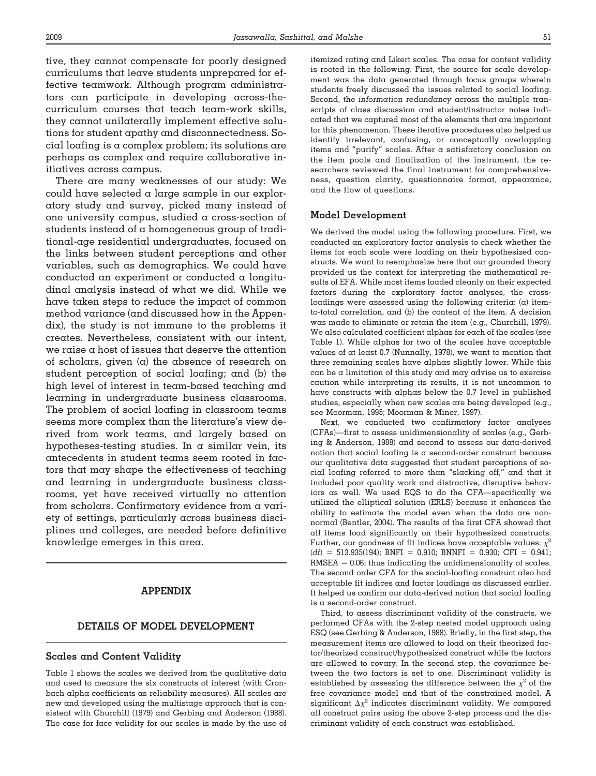tive, they cannot compensate for poorly designed curriculums that leave students unprepared for effective teamwork. Although program administrators can participate in developing across-thecurriculum courses that teach team-work skills, they cannot unilaterally implement effective solutions for student apathy and disconnectedness. Social loafing is a complex problem; its solutions are perhaps as complex and require collaborative initiatives across campus.

There are many weaknesses of our study: We could have selected a large sample in our exploratory study and survey, picked many instead of one university campus, studied a cross-section of students instead of a homogeneous group of traditional-age residential undergraduates, focused on the links between student perceptions and other variables, such as demographics. We could have conducted an experiment or conducted a longitudinal analysis instead of what we did. While we have taken steps to reduce the impact of common method variance (and discussed how in the Appendix), the study is not immune to the problems it creates. Nevertheless, consistent with our intent, we raise  $\alpha$  host of issues that deserve the attention of scholars, given  $(a)$  the absence of research on student perception of social loafing; and (b) the high level of interest in team-based teaching and learning in undergraduate business classrooms. The problem of social loafing in classroom teams seems more complex than the literature's view derived from work teams, and largely based on hypotheses-testing studies. In  $\alpha$  similar vein, its antecedents in student teams seem rooted in factors that may shape the effectiveness of teaching and learning in undergraduate business classrooms, yet have received virtually no attention from scholars. Confirmatory evidence from a variety of settings, particularly across business disciplines and colleges, are needed before definitive knowledge emerges in this area.

# **APPENDIX**

#### **DETAILS OF MODEL DEVELOPMENT**

#### **Scales and Content Validity**

Table 1 shows the scales we derived from the qualitative data and used to measure the six constructs of interest (with Cronbach alpha coefficients as reliability measures). All scales are new and developed using the multistage approach that is consistent with Churchill (1979) and Gerbing and Anderson (1988). The case for face validity for our scales is made by the use of itemized rating and Likert scales. The case for content validity is rooted in the following. First, the source for scale development was the data generated through focus groups wherein students freely discussed the issues related to social loafing. Second, the *information redundancy* across the multiple transcripts of class discussion and student/instructor notes indicated that we captured most of the elements that are important for this phenomenon. These iterative procedures also helped us identify irrelevant, confusing, or conceptually overlapping items and "purify" scales. After a satisfactory conclusion on the item pools and finalization of the instrument, the researchers reviewed the final instrument for comprehensiveness, question clarity, questionnaire format, appearance, and the flow of questions.

#### **Model Development**

We derived the model using the following procedure. First, we conducted an exploratory factor analysis to check whether the items for each scale were loading on their hypothesized constructs. We want to reemphasize here that our grounded theory provided us the context for interpreting the mathematical results of EFA. While most items loaded cleanly on their expected factors during the exploratory factor analyses, the crossloadings were assessed using the following criteria:  $(a)$  itemto-total correlation, and (b) the content of the item. A decision was made to eliminate or retain the item (e.g., Churchill, 1979). We also calculated coefficient alphas for each of the scales (see Table 1). While alphas for two of the scales have acceptable values of at least 0.7 (Nunnally, 1978), we want to mention that three remaining scales have alphas slightly lower. While this can be a limitation of this study and may advise us to exercise caution while interpreting its results, it is not uncommon to have constructs with alphas below the 0.7 level in published studies, especially when new scales are being developed (e.g., see Moorman, 1995; Moorman & Miner, 1997).

Next, we conducted two confirmatory factor analyses (CFAs)—first to assess unidimensionality of scales (e.g., Gerbing & Anderson, 1988) and second to assess our data-derived notion that social loafing is a second-order construct because our qualitative data suggested that student perceptions of social loafing referred to more than "slacking off," and that it included poor quality work and distractive, disruptive behaviors as well. We used EQS to do the CFA—specifically we utilized the elliptical solution (ERLS) because it enhances the ability to estimate the model even when the data are nonnormal (Bentler, 2004). The results of the first CFA showed that all items load significantly on their hypothesized constructs. Further, our goodness of fit indices have acceptable values:  $\chi^2$  $(df) = 513.935(194)$ ; BNFI = 0.910; BNNFI = 0.930; CFI = 0.941;  $RMSEA = 0.06$ ; thus indicating the unidimensionality of scales. The second order CFA for the social-loafing construct also had acceptable fit indices and factor loadings as discussed earlier. It helped us confirm our data-derived notion that social loafing is a second-order construct.

Third, to assess discriminant validity of the constructs, we performed CFAs with the 2-step nested model approach using ESQ (see Gerbing & Anderson, 1988). Briefly, in the first step, the measurement items are allowed to load on their theorized factor/theorized construct/hypothesized construct while the factors are allowed to covary. In the second step, the covariance between the two factors is set to one. Discriminant validity is established by assessing the difference between the  $\chi^2$  of the free covariance model and that of the constrained model. A significant  $\Delta \chi^2$  indicates discriminant validity. We compared all construct pairs using the above 2-step process and the discriminant validity of each construct was established.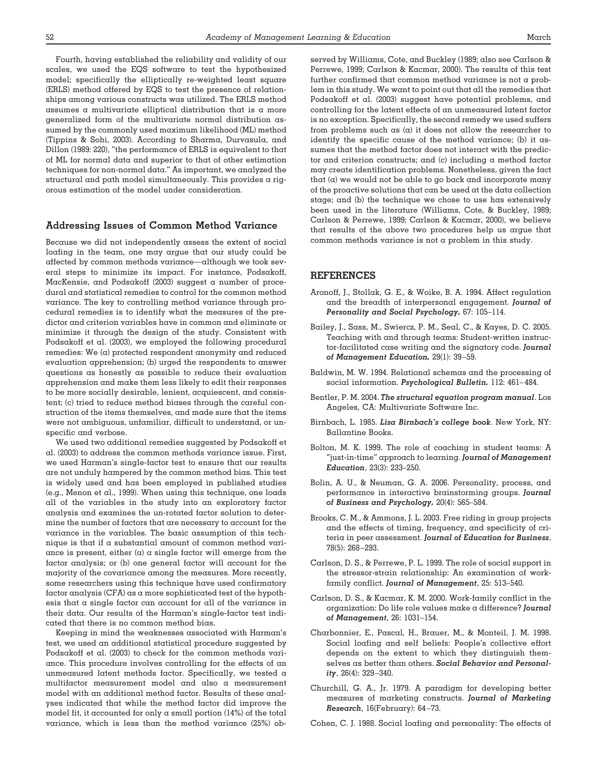Fourth, having established the reliability and validity of our scales, we used the EQS software to test the hypothesized model; specifically the elliptically re-weighted least square (ERLS) method offered by EQS to test the presence of relationships among various constructs was utilized. The ERLS method assumes a multivariate elliptical distribution that is a more generalized form of the multivariate normal distribution assumed by the commonly used maximum likelihood (ML) method (Tippins & Sohi, 2003). According to Sharma, Durvasula, and Dillon (1989: 220), "the performance of ERLS is equivalent to that of ML for normal data and superior to that of other estimation techniques for non-normal data." As important, we analyzed the structural and path model simultaneously. This provides a rigorous estimation of the model under consideration.

#### **Addressing Issues of Common Method Variance**

Because we did not independently assess the extent of social loafing in the team, one may argue that our study could be affected by common methods variance—although we took several steps to minimize its impact. For instance, Podsakoff, MacKensie, and Podsakoff (2003) suggest a number of procedural and statistical remedies to control for the common method variance. The key to controlling method variance through procedural remedies is to identify what the measures of the predictor and criterion variables have in common and eliminate or minimize it through the design of the study. Consistent with Podsakoff et al. (2003), we employed the following procedural remedies: We (a) protected respondent anonymity and reduced evaluation apprehension; (b) urged the respondents to answer questions as honestly as possible to reduce their evaluation apprehension and make them less likely to edit their responses to be more socially desirable, lenient, acquiescent, and consistent; (c) tried to reduce method biases through the careful construction of the items themselves, and made sure that the items were not ambiguous, unfamiliar, difficult to understand, or unspecific and verbose.

We used two additional remedies suggested by Podsakoff et al. (2003) to address the common methods variance issue. First, we used Harman's single-factor test to ensure that our results are not unduly hampered by the common method bias. This test is widely used and has been employed in published studies (e.g., Menon et al., 1999). When using this technique, one loads all of the variables in the study into an exploratory factor analysis and examines the un-rotated factor solution to determine the number of factors that are necessary to account for the variance in the variables. The basic assumption of this technique is that if a substantial amount of common method variance is present, either  $(a)$  a single factor will emerge from the factor analysis; or (b) one general factor will account for the majority of the covariance among the measures. More recently, some researchers using this technique have used confirmatory factor analysis (CFA) as a more sophisticated test of the hypothesis that a single factor can account for all of the variance in their data. Our results of the Harman's single-factor test indicated that there is no common method bias.

Keeping in mind the weaknesses associated with Harman's test, we used an additional statistical procedure suggested by Podsakoff et al. (2003) to check for the common methods variance. This procedure involves controlling for the effects of an unmeasured latent methods factor. Specifically, we tested a multifactor measurement model and also a measurement model with an additional method factor. Results of these analyses indicated that while the method factor did improve the model fit, it accounted for only a small portion  $(14%)$  of the total variance, which is less than the method variance (25%) observed by Williams, Cote, and Buckley (1989; also see Carlson & Perrewe, 1999; Carlson & Kacmar, 2000). The results of this test further confirmed that common method variance is not a problem in this study. We want to point out that all the remedies that Podsakoff et al. (2003) suggest have potential problems, and controlling for the latent effects of an unmeasured latent factor is no exception. Specifically, the second remedy we used suffers from problems such as  $(\alpha)$  it does not allow the researcher to identify the specific cause of the method variance; (b) it assumes that the method factor does not interact with the predictor and criterion constructs; and (c) including a method factor may create identification problems. Nonetheless, given the fact that  $(a)$  we would not be able to go back and incorporate many of the proactive solutions that can be used at the data collection stage; and (b) the technique we chose to use has extensively been used in the literature (Williams, Cote, & Buckley, 1989; Carlson & Perrewe, 1999; Carlson & Kacmar, 2000), we believe that results of the above two procedures help us argue that common methods variance is not a problem in this study.

#### **REFERENCES**

- Aronoff, J., Stollak, G. E., & Woike, B. A. 1994. Affect regulation and the breadth of interpersonal engagement. *Journal of Personality and Social Psychology,* 67: 105–114.
- Bailey, J., Sass, M., Swiercz, P. M., Seal, C., & Kayes, D. C. 2005. Teaching with and through teams: Student-written instructor-facilitated case writing and the signatory code. *Journal of Management Education,* 29(1): 39 –59.
- Baldwin, M. W. 1994. Relational schemas and the processing of social information. *Psychological Bulletin,* 112: 461– 484.
- Bentler, P. M. 2004. *The structural equation program manual*. Los Angeles, CA: Multivariate Software Inc.
- Birnbach, L. 1985. *Lisa Birnbach's college book*. New York, NY: Ballantine Books.
- Bolton, M. K. 1999. The role of coaching in student teams: A "just-in-time" approach to learning. *Journal of Management Education*, 23(3): 233–250.
- Bolin, A. U., & Neuman, G. A. 2006. Personality, process, and performance in interactive brainstorming groups. *Journal of Business and Psychology,* 20(4): 565–584.
- Brooks, C. M., & Ammons, J. L. 2003. Free riding in group projects and the effects of timing, frequency, and specificity of criteria in peer assessment. *Journal of Education for Business*, 78(5): 268 –293.
- Carlson, D. S., & Perrewe, P. L. 1999. The role of social support in the stressor-strain relationship: An examination of workfamily conflict. *Journal of Management*, 25: 513–540.
- Carlson, D. S., & Kacmar, K. M. 2000. Work-family conflict in the organization: Do life role values make a difference? *Journal of Management*, 26: 1031–154.
- Charbonnier, E., Pascal, H., Brauer, M., & Monteil, J. M. 1998. Social loafing and self beliefs: People's collective effort depends on the extent to which they distinguish themselves as better than others. *Social Behavior and Personality*, 26(4): 329 –340.
- Churchill, G. A., Jr. 1979. A paradigm for developing better measures of marketing constructs. *Journal of Marketing Research*, 16(February): 64 –73.
- Cohen, C. J. 1988. Social loafing and personality: The effects of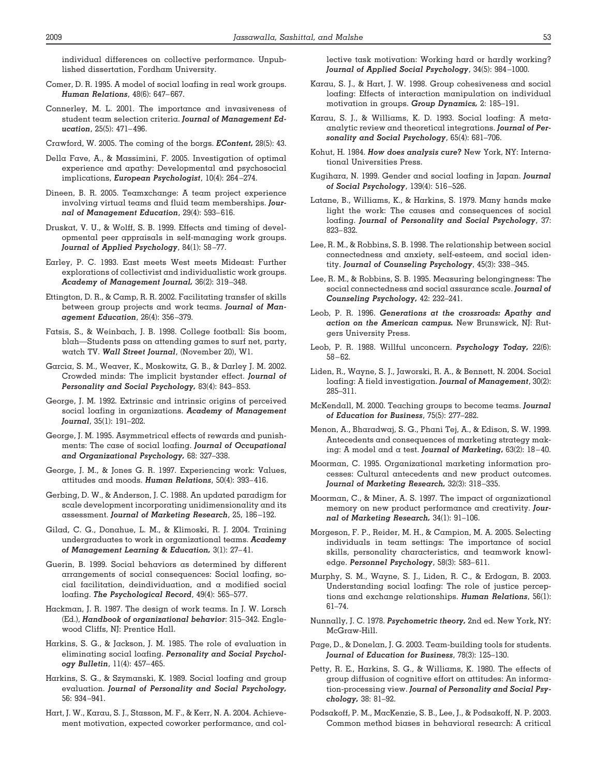individual differences on collective performance. Unpublished dissertation, Fordham University.

- Comer, D. R. 1995. A model of social loafing in real work groups. *Human Relations*, 48(6): 647– 667.
- Connerley, M. L. 2001. The importance and invasiveness of student team selection criteria. *Journal of Management Education*, 25(5): 471– 496.
- Crawford, W. 2005. The coming of the borgs. *EContent,* 28(5): 43.
- Della Fave, A., & Massimini, F. 2005. Investigation of optimal experience and apathy: Developmental and psychosocial implications, *European Psychologist*, 10(4): 264 –274.
- Dineen, B. R. 2005. Teamxchange: A team project experience involving virtual teams and fluid team memberships. *Journal of Management Education*, 29(4): 593– 616.
- Druskat, V. U., & Wolff, S. B. 1999. Effects and timing of developmental peer appraisals in self-managing work groups. *Journal of Applied Psychology*, 84(1): 58 –77.
- Earley, P. C. 1993. East meets West meets Mideast: Further explorations of collectivist and individualistic work groups. *Academy of Management Journal,* 36(2): 319 –348.
- Ettington, D. R., & Camp, R. R. 2002. Facilitating transfer of skills between group projects and work teams. *Journal of Management Education*, 26(4): 356 –379.
- Fatsis, S., & Weinbach, J. B. 1998. College football: Sis boom, blah—Students pass on attending games to surf net, party, watch TV. *Wall Street Journal*, (November 20), W1.
- Garcia, S. M., Weaver, K., Moskowitz, G. B., & Darley J. M. 2002. Crowded minds: The implicit bystander effect. *Journal of Personality and Social Psychology,* 83(4): 843– 853.
- George, J. M. 1992. Extrinsic and intrinsic origins of perceived social loafing in organizations. *Academy of Management Journal*, 35(1): 191–202.
- George, J. M. 1995. Asymmetrical effects of rewards and punishments: The case of social loafing. *Journal of Occupational and Organizational Psychology,* 68: 327–338.
- George, J. M., & Jones G. R. 1997. Experiencing work: Values, attitudes and moods. *Human Relations*, 50(4): 393– 416.
- Gerbing, D. W., & Anderson, J. C. 1988. An updated paradigm for scale development incorporating unidimensionality and its assessment. *Journal of Marketing Research*, 25, 186 –192.
- Gilad, C. G., Donahue, L. M., & Klimoski, R. J. 2004. Training undergraduates to work in organizational teams. *Academy of Management Learning & Education,* 3(1): 27– 41.
- Guerin, B. 1999. Social behaviors as determined by different arrangements of social consequences: Social loafing, social facilitation, deindividuation, and a modified social loafing. *The Psychological Record*, 49(4): 565–577.
- Hackman, J. R. 1987. The design of work teams. In J. W. Lorsch (Ed.), *Handbook of organizational behavior*: 315–342. Englewood Cliffs, NJ: Prentice Hall.
- Harkins, S. G., & Jackson, J. M. 1985. The role of evaluation in eliminating social loafing. *Personality and Social Psychology Bulletin*, 11(4): 457– 465.
- Harkins, S. G., & Szymanski, K. 1989. Social loafing and group evaluation. *Journal of Personality and Social Psychology,* 56: 934 –941.
- Hart, J. W., Karau, S. J., Stasson, M. F., & Kerr, N. A. 2004. Achievement motivation, expected coworker performance, and col-

lective task motivation: Working hard or hardly working? *Journal of Applied Social Psychology*, 34(5): 984 –1000.

- Karau, S. J., & Hart, J. W. 1998. Group cohesiveness and social loafing: Effects of interaction manipulation on individual motivation in groups. *Group Dynamics,* 2: 185–191.
- Karau, S. J., & Williams, K. D. 1993. Social loafing: A metaanalytic review and theoretical integrations. *Journal of Personality and Social Psychology*, 65(4): 681–706.
- Kohut, H. 1984. *How does analysis cure?* New York, NY: International Universities Press.
- Kugihara, N. 1999. Gender and social loafing in Japan. *Journal of Social Psychology*, 139(4): 516 –526.
- Latane, B., Williams, K., & Harkins, S. 1979. Many hands make light the work: The causes and consequences of social loafing. *Journal of Personality and Social Psychology*, 37: 823– 832.
- Lee, R. M., & Robbins, S. B. 1998. The relationship between social connectedness and anxiety, self-esteem, and social identity. *Journal of Counseling Psychology*, 45(3): 338 –345.
- Lee, R. M., & Robbins, S. B. 1995. Measuring belongingness: The social connectedness and social assurance scale. *Journal of Counseling Psychology,* 42: 232–241.
- Leob, P. R. 1996. *Generations at the crossroads: Apathy and action on the American campus.* New Brunswick, NJ: Rutgers University Press.
- Leob, P. R. 1988. Willful unconcern. *Psychology Today,* 22(6): 58 – 62.
- Liden, R., Wayne, S. J., Jaworski, R. A., & Bennett, N. 2004. Social loafing: A field investigation. *Journal of Management*, 30(2): 285–311.
- McKendall, M. 2000. Teaching groups to become teams. *Journal of Education for Business*, 75(5): 277–282.
- Menon, A., Bharadwaj, S. G., Phani Tej, A., & Edison, S. W. 1999. Antecedents and consequences of marketing strategy making: A model and a test. *Journal of Marketing***,** 63(2): 18 – 40.
- Moorman, C. 1995. Organizational marketing information processes: Cultural antecedents and new product outcomes. *Journal of Marketing Research,* 32(3): 318 –335.
- Moorman, C., & Miner, A. S. 1997. The impact of organizational memory on new product performance and creativity. *Journal of Marketing Research,* 34(1): 91–106.
- Morgeson, F. P., Reider, M. H., & Campion, M. A. 2005. Selecting individuals in team settings: The importance of social skills, personality characteristics, and teamwork knowledge. *Personnel Psychology*, 58(3): 583– 611.
- Murphy, S. M., Wayne, S. J., Liden, R. C., & Erdogan, B. 2003. Understanding social loafing: The role of justice perceptions and exchange relationships. *Human Relations*, 56(1): 61–74.
- Nunnally, J. C. 1978. *Psychometric theory,* 2nd ed. New York, NY: McGraw-Hill.
- Page, D., & Donelan, J. G. 2003. Team-building tools for students. *Journal of Education for Business*, 78(3): 125–130.
- Petty, R. E., Harkins, S. G., & Williams, K. 1980. The effects of group diffusion of cognitive effort on attitudes: An information-processing view. *Journal of Personality and Social Psychology,* 38: 81–92.
- Podsakoff, P. M., MacKenzie, S. B., Lee, J., & Podsakoff, N. P. 2003. Common method biases in behavioral research: A critical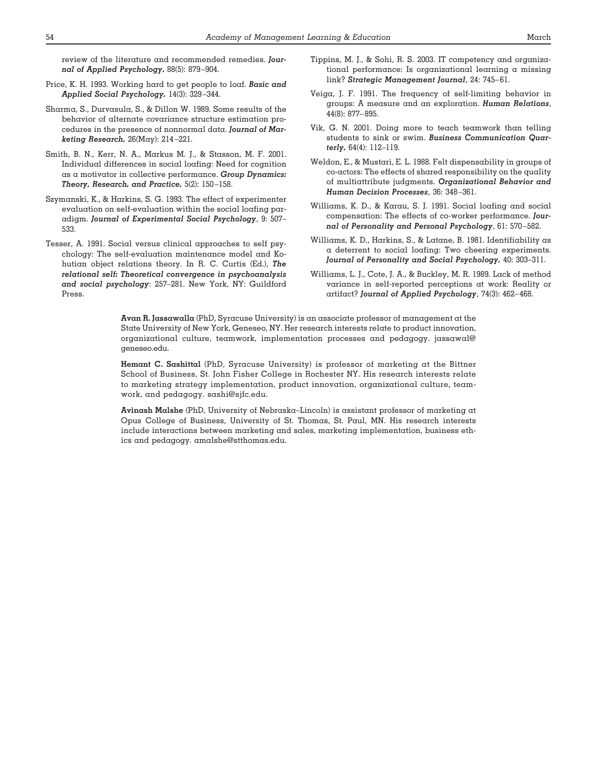review of the literature and recommended remedies. *Journal of Applied Psychology***,** 88(5): 879 –904.

- Price, K. H. 1993. Working hard to get people to loaf. *Basic and Applied Social Psychology,* 14(3): 329 –344.
- Sharma, S., Durvasula, S., & Dillon W. 1989. Some results of the behavior of alternate covariance structure estimation procedures in the presence of nonnormal data. *Journal of Marketing Research,* 26(May): 214 –221.
- Smith, B. N., Kerr, N. A., Markus M. J., & Stasson, M. F. 2001. Individual differences in social loafing: Need for cognition as a motivator in collective performance. *Group Dynamics: Theory, Research, and Practice,* 5(2): 150 –158.
- Szymanski, K., & Harkins, S. G. 1993. The effect of experimenter evaluation on self-evaluation within the social loafing paradigm. *Journal of Experimental Social Psychology*, 9: 507– 533.
- Tesser, A. 1991. Social versus clinical approaches to self psychology: The self-evaluation maintenance model and Kohutian object relations theory. In R. C. Curtis (Ed.), *The relational self: Theoretical convergence in psychoanalysis and social psychology*: 257–281. New York, NY: Guildford Press.
- Tippins, M. J., & Sohi, R. S. 2003. IT competency and organizational performance: Is organizational learning a missing link? *Strategic Management Journal*, 24: 745– 61.
- Veiga, J. F. 1991. The frequency of self-limiting behavior in groups: A measure and an exploration. *Human Relations*, 44(8): 877– 895.
- Vik, G. N. 2001. Doing more to teach teamwork than telling students to sink or swim. *Business Communication Quarterly,* 64(4): 112–119.
- Weldon, E., & Mustari, E. L. 1988. Felt dispensability in groups of co-actors: The effects of shared responsibility on the quality of multiattribute judgments. *Organizational Behavior and Human Decision Processes*, 36: 348 –361.
- Williams, K. D., & Karau, S. J. 1991. Social loafing and social compensation: The effects of co-worker performance. *Journal of Personality and Personal Psychology*, 61: 570 –582.
- Williams, K. D., Harkins, S., & Latane, B. 1981. Identifiability as a deterrent to social loafing: Two cheering experiments. *Journal of Personality and Social Psychology,* 40: 303–311.
- Williams, L. J., Cote, J. A., & Buckley, M. R. 1989. Lack of method variance in self-reported perceptions at work: Reality or artifact? *Journal of Applied Psychology*, 74(3): 462– 468.

**Avan R. Jassawalla** (PhD, Syracuse University) is an associate professor of management at the State University of New York, Geneseo, NY. Her research interests relate to product innovation, organizational culture, teamwork, implementation processes and pedagogy. jassawal@ geneseo.edu.

**Hemant C. Sashittal** (PhD, Syracuse University) is professor of marketing at the Bittner School of Business, St. John Fisher College in Rochester NY. His research interests relate to marketing strategy implementation, product innovation, organizational culture, teamwork, and pedagogy. sashi@sjfc.edu.

**Avinash Malshe** (PhD, University of Nebraska–Lincoln) is assistant professor of marketing at Opus College of Business, University of St. Thomas, St. Paul, MN. His research interests include interactions between marketing and sales, marketing implementation, business ethics and pedagogy. amalshe@stthomas.edu.